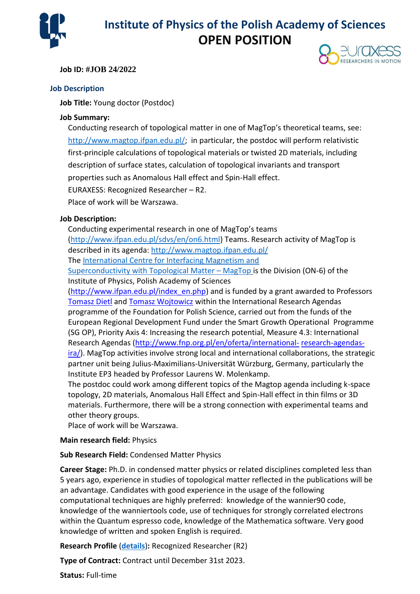

# **Institute of Physics of the Polish Academy of Sciences OPEN POSITION**

### **Job ID: #JOB 24/2022**



**Job Title:** Young doctor (Postdoc)

#### **Job Summary:**

Conducting research of topological matter in one of MagTop's theoretical teams, see: [http://www.magtop.ifpan.edu.pl/;](http://www.magtop.ifpan.edu.pl/) in particular, the postdoc will perform relativistic first-principle calculations of topological materials or twisted 2D materials, including description of surface states, calculation of topological invariants and transport properties such as Anomalous Hall effect and Spin-Hall effect.

EURAXESS: Recognized Researcher – R2.

Place of work will be Warszawa.

#### **Job Description:**

Conducting experimental research in one of MagTop's teams [\(http://www.ifpan.edu.pl/sdvs/en/on6.html\)](http://www.ifpan.edu.pl/sdvs/en/on6.html) Teams. Research activity of MagTop is described in its agenda:<http://www.magtop.ifpan.edu.pl/>

The [International Centre for Interfacing Magnetism and](http://www.magtop.ifpan.edu.pl/)

[Superconductivity with Topological Matter](http://www.magtop.ifpan.edu.pl/) – MagTop is the Division (ON-6) of the Institute of Physics, Polish Academy of Sciences

[\(http://www.ifpan.edu.pl/index\\_en.php\)](http://www.ifpan.edu.pl/index_en.php) and is funded by a grant awarded to Professors [Tomasz Dietl](http://www.ifpan.edu.pl/~dietl) an[d Tomasz Wojtowicz](http://www.ifpan.edu.pl/SL-3/TWojtowicz/wojtowicz.html) within the International Research Agendas programme of the Foundation for Polish Science, carried out from the funds of the European Regional Development Fund under the Smart Growth Operational Programme (SG OP), Priority Axis 4: Increasing the research potential, Measure 4.3: International Research Agendas [\(http://www.fnp.org.pl/en/oferta/international-](http://www.fnp.org.pl/en/oferta/international-research-agendas-ira/) [research-agendas](http://www.fnp.org.pl/en/oferta/international-research-agendas-ira/)[ira/\)](http://www.fnp.org.pl/en/oferta/international-research-agendas-ira/). MagTop activities involve strong local and international collaborations, the strategic partner unit being Julius-Maximilians-Universität Würzburg, Germany, particularly the

Institute EP3 headed by Professor Laurens W. Molenkamp.

The postdoc could work among different topics of the Magtop agenda including k-space topology, 2D materials, Anomalous Hall Effect and Spin-Hall effect in thin films or 3D materials. Furthermore, there will be a strong connection with experimental teams and other theory groups.

Place of work will be Warszawa.

#### **Main research field:** Physics

#### **Sub Research Field:** Condensed Matter Physics

**Career Stage:** Ph.D. in condensed matter physics or related disciplines completed less than 5 years ago, experience in studies of topological matter reflected in the publications will be an advantage. Candidates with good experience in the usage of the following computational techniques are highly preferred: knowledge of the wannier90 code, knowledge of the wanniertools code, use of techniques for strongly correlated electrons within the Quantum espresso code, knowledge of the Mathematica software. Very good knowledge of written and spoken English is required.

**Research Profile** (**[details](http://ec.europa.eu/euraxess/help/help_resProfile.html)**)**:** Recognized Researcher (R2)

**Type of Contract:** Contract until December 31st 2023.

**Status:** Full-time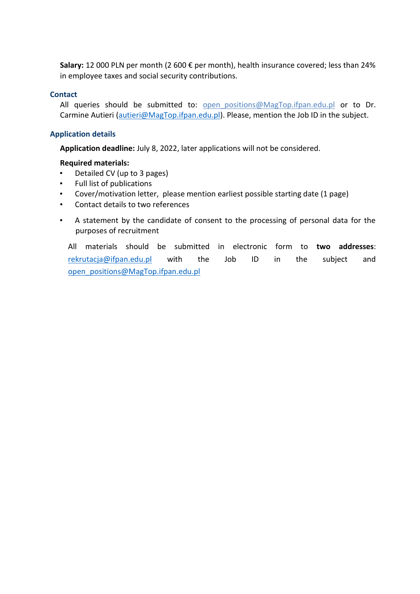**Salary:** 12 000 PLN per month (2 600 € per month), health insurance covered; less than 24% in employee taxes and social security contributions.

### **Contact**

All queries should be submitted to: open positions@MagTop.ifpan.edu.pl or to Dr. Carmine Autieri [\(autieri@MagTop.ifpan.edu.pl\)](mailto:autieri@MagTop.ifpan.edu.pl). Please, mention the Job ID in the subject.

### **Application details**

**Application deadline:** July 8, 2022, later applications will not be considered.

## **Required materials:**

- Detailed CV (up to 3 pages)
- Full list of publications
- Cover/motivation letter, please mention earliest possible starting date (1 page)
- Contact details to two references
- A statement by the candidate of consent to the processing of personal data for the purposes of recruitment

All materials should be submitted in electronic form to **two addresses**: [rekrutacja@ifpan.edu.pl](mailto:rekrutacja@ifpan.edu.pl) with the Job ID in the subject and [open\\_positions@MagTop.ifpan.edu.pl](mailto:open_positions@MagTop.ifpan.edu.pl)